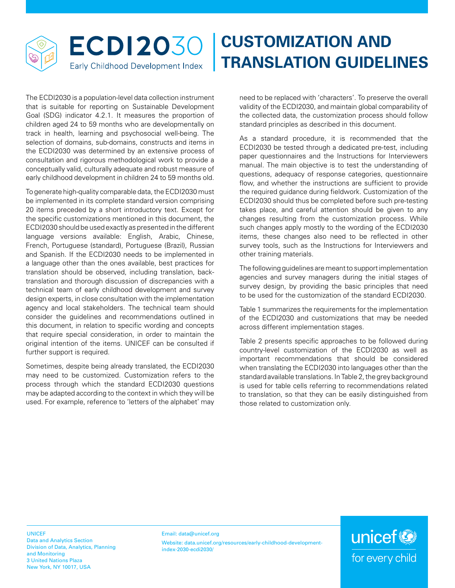

## **CUSTOMIZATION AND TRANSLATION GUIDELINES**

The ECDI2030 is a population-level data collection instrument that is suitable for reporting on Sustainable Development Goal (SDG) indicator 4.2.1. It measures the proportion of children aged 24 to 59 months who are developmentally on track in health, learning and psychosocial well-being. The selection of domains, sub-domains, constructs and items in the ECDI2030 was determined by an extensive process of consultation and rigorous methodological work to provide a conceptually valid, culturally adequate and robust measure of early childhood development in children 24 to 59 months old.

To generate high-quality comparable data, the ECDI2030 must be implemented in its complete standard version comprising 20 items preceded by a short introductory text. Except for the specific customizations mentioned in this document, the ECDI2030 should be used exactly as presented in the different language versions available: English, Arabic, Chinese, French, Portuguese (standard), Portuguese (Brazil), Russian and Spanish. If the ECDI2030 needs to be implemented in a language other than the ones available, best practices for translation should be observed, including translation, backtranslation and thorough discussion of discrepancies with a technical team of early childhood development and survey design experts, in close consultation with the implementation agency and local stakeholders. The technical team should consider the guidelines and recommendations outlined in this document, in relation to specific wording and concepts that require special consideration, in order to maintain the original intention of the items. UNICEF can be consulted if further support is required.

Sometimes, despite being already translated, the ECDI2030 may need to be customized. Customization refers to the process through which the standard ECDI2030 questions may be adapted according to the context in which they will be used. For example, reference to 'letters of the alphabet' may need to be replaced with 'characters'. To preserve the overall validity of the ECDI2030, and maintain global comparability of the collected data, the customization process should follow standard principles as described in this document.

As a standard procedure, it is recommended that the ECDI2030 be tested through a dedicated pre-test, including paper questionnaires and the Instructions for Interviewers manual. The main objective is to test the understanding of questions, adequacy of response categories, questionnaire flow, and whether the instructions are sufficient to provide the required guidance during fieldwork. Customization of the ECDI2030 should thus be completed before such pre-testing takes place, and careful attention should be given to any changes resulting from the customization process. While such changes apply mostly to the wording of the ECDI2030 items, these changes also need to be reflected in other survey tools, such as the Instructions for Interviewers and other training materials.

The following guidelines are meant to support implementation agencies and survey managers during the initial stages of survey design, by providing the basic principles that need to be used for the customization of the standard ECDI2030.

Table 1 summarizes the requirements for the implementation of the ECDI2030 and customizations that may be needed across different implementation stages.

Table 2 presents specific approaches to be followed during country-level customization of the ECDI2030 as well as important recommendations that should be considered when translating the ECDI2030 into languages other than the standard available translations. In Table 2, the grey background is used for table cells referring to recommendations related to translation, so that they can be easily distinguished from those related to customization only.

unicef<sup>®</sup>

for every child

UNICEF Data and Analytics Section Division of Data, Analytics, Planning and Monitoring 3 United Nations Plaza New York, NY 10017, USA

Email: data@unicef.org Website: [data.unicef.org/resources/early-childhood-development](data.unicef.org/resources/early-childhood-development-index-2030-ecdi2030/)[index-2030-ecdi2030/](data.unicef.org/resources/early-childhood-development-index-2030-ecdi2030/)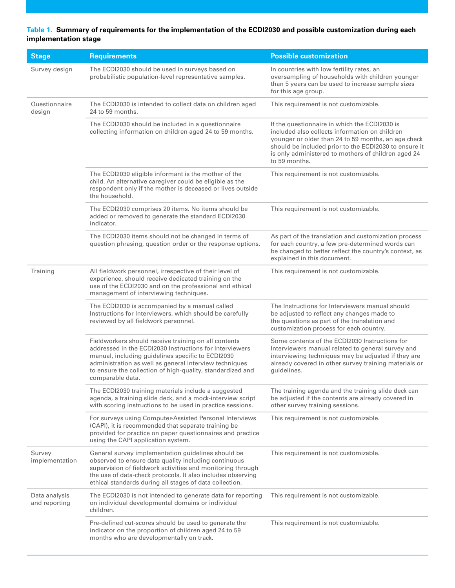## **Table 1. Summary of requirements for the implementation of the ECDI2030 and possible customization during each implementation stage**

| <b>Stage</b>                   | <b>Requirements</b>                                                                                                                                                                                                                                                                                              | <b>Possible customization</b>                                                                                                                                                                                                                                                           |
|--------------------------------|------------------------------------------------------------------------------------------------------------------------------------------------------------------------------------------------------------------------------------------------------------------------------------------------------------------|-----------------------------------------------------------------------------------------------------------------------------------------------------------------------------------------------------------------------------------------------------------------------------------------|
| Survey design                  | The ECDI2030 should be used in surveys based on<br>probabilistic population-level representative samples.                                                                                                                                                                                                        | In countries with low fertility rates, an<br>oversampling of households with children younger<br>than 5 years can be used to increase sample sizes<br>for this age group.                                                                                                               |
| Questionnaire<br>design        | The ECDI2030 is intended to collect data on children aged<br>24 to 59 months.                                                                                                                                                                                                                                    | This requirement is not customizable.                                                                                                                                                                                                                                                   |
|                                | The ECDI2030 should be included in a questionnaire<br>collecting information on children aged 24 to 59 months.                                                                                                                                                                                                   | If the questionnaire in which the ECDI2030 is<br>included also collects information on children<br>younger or older than 24 to 59 months, an age check<br>should be included prior to the ECDI2030 to ensure it<br>is only administered to mothers of children aged 24<br>to 59 months. |
|                                | The ECDI2030 eligible informant is the mother of the<br>child. An alternative caregiver could be eligible as the<br>respondent only if the mother is deceased or lives outside<br>the household.                                                                                                                 | This requirement is not customizable.                                                                                                                                                                                                                                                   |
|                                | The ECDI2030 comprises 20 items. No items should be<br>added or removed to generate the standard ECDI2030<br>indicator.                                                                                                                                                                                          | This requirement is not customizable.                                                                                                                                                                                                                                                   |
|                                | The ECDI2030 items should not be changed in terms of<br>question phrasing, question order or the response options.                                                                                                                                                                                               | As part of the translation and customization process<br>for each country, a few pre-determined words can<br>be changed to better reflect the country's context, as<br>explained in this document.                                                                                       |
| Training                       | All fieldwork personnel, irrespective of their level of<br>experience, should receive dedicated training on the<br>use of the ECDI2030 and on the professional and ethical<br>management of interviewing techniques.                                                                                             | This requirement is not customizable.                                                                                                                                                                                                                                                   |
|                                | The ECDI2030 is accompanied by a manual called<br>Instructions for Interviewers, which should be carefully<br>reviewed by all fieldwork personnel.                                                                                                                                                               | The Instructions for Interviewers manual should<br>be adjusted to reflect any changes made to<br>the questions as part of the translation and<br>customization process for each country.                                                                                                |
|                                | Fieldworkers should receive training on all contents<br>addressed in the ECDI2030 Instructions for Interviewers<br>manual, including guidelines specific to ECDI2030<br>administration as well as general interview techniques<br>to ensure the collection of high-quality, standardized and<br>comparable data. | Some contents of the ECDI2030 Instructions for<br>Interviewers manual related to general survey and<br>interviewing techniques may be adjusted if they are<br>already covered in other survey training materials or<br>guidelines.                                                      |
|                                | The ECDI2030 training materials include a suggested<br>agenda, a training slide deck, and a mock-interview script<br>with scoring instructions to be used in practice sessions.                                                                                                                                  | The training agenda and the training slide deck can<br>be adjusted if the contents are already covered in<br>other survey training sessions.                                                                                                                                            |
|                                | For surveys using Computer-Assisted Personal Interviews<br>(CAPI), it is recommended that separate training be<br>provided for practice on paper questionnaires and practice<br>using the CAPI application system.                                                                                               | This requirement is not customizable.                                                                                                                                                                                                                                                   |
| Survey<br>implementation       | General survey implementation guidelines should be<br>observed to ensure data quality including continuous<br>supervision of fieldwork activities and monitoring through<br>the use of data-check protocols. It also includes observing<br>ethical standards during all stages of data collection.               | This requirement is not customizable.                                                                                                                                                                                                                                                   |
| Data analysis<br>and reporting | The ECDI2030 is not intended to generate data for reporting<br>on individual developmental domains or individual<br>children.                                                                                                                                                                                    | This requirement is not customizable.                                                                                                                                                                                                                                                   |
|                                | Pre-defined cut-scores should be used to generate the<br>indicator on the proportion of children aged 24 to 59<br>months who are developmentally on track.                                                                                                                                                       | This requirement is not customizable.                                                                                                                                                                                                                                                   |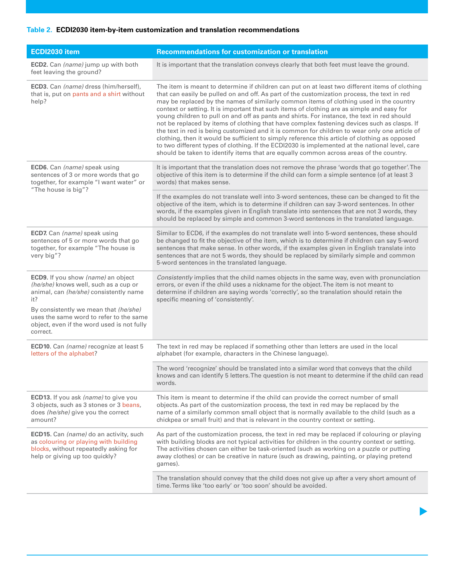## **Table 2. ECDI2030 item-by-item customization and translation recommendations**

| ECDI2030 item                                                                                                                                              | <b>Recommendations for customization or translation</b>                                                                                                                                                                                                                                                                                                                                                                                                                                                                                                                                                                                                                                                                                                                                                                                                                                                                                                                           |
|------------------------------------------------------------------------------------------------------------------------------------------------------------|-----------------------------------------------------------------------------------------------------------------------------------------------------------------------------------------------------------------------------------------------------------------------------------------------------------------------------------------------------------------------------------------------------------------------------------------------------------------------------------------------------------------------------------------------------------------------------------------------------------------------------------------------------------------------------------------------------------------------------------------------------------------------------------------------------------------------------------------------------------------------------------------------------------------------------------------------------------------------------------|
| ECD2. Can (name) jump up with both<br>feet leaving the ground?                                                                                             | It is important that the translation conveys clearly that both feet must leave the ground.                                                                                                                                                                                                                                                                                                                                                                                                                                                                                                                                                                                                                                                                                                                                                                                                                                                                                        |
| ECD3. Can (name) dress (him/herself),<br>that is, put on pants and a shirt without<br>help?                                                                | The item is meant to determine if children can put on at least two different items of clothing<br>that can easily be pulled on and off. As part of the customization process, the text in red<br>may be replaced by the names of similarly common items of clothing used in the country<br>context or setting. It is important that such items of clothing are as simple and easy for<br>young children to pull on and off as pants and shirts. For instance, the text in red should<br>not be replaced by items of clothing that have complex fastening devices such as clasps. If<br>the text in red is being customized and it is common for children to wear only one article of<br>clothing, then it would be sufficient to simply reference this article of clothing as opposed<br>to two different types of clothing. If the ECDI2030 is implemented at the national level, care<br>should be taken to identify items that are equally common across areas of the country. |
| ECD6. Can (name) speak using<br>sentences of 3 or more words that go<br>together, for example "I want water" or<br>"The house is big"?                     | It is important that the translation does not remove the phrase 'words that go together'. The<br>objective of this item is to determine if the child can form a simple sentence (of at least 3<br>words) that makes sense.                                                                                                                                                                                                                                                                                                                                                                                                                                                                                                                                                                                                                                                                                                                                                        |
|                                                                                                                                                            | If the examples do not translate well into 3-word sentences, these can be changed to fit the<br>objective of the item, which is to determine if children can say 3-word sentences. In other<br>words, if the examples given in English translate into sentences that are not 3 words, they<br>should be replaced by simple and common 3-word sentences in the translated language.                                                                                                                                                                                                                                                                                                                                                                                                                                                                                                                                                                                                |
| ECD7. Can (name) speak using<br>sentences of 5 or more words that go<br>together, for example "The house is<br>very big"?                                  | Similar to ECD6, if the examples do not translate well into 5-word sentences, these should<br>be changed to fit the objective of the item, which is to determine if children can say 5-word<br>sentences that make sense. In other words, if the examples given in English translate into<br>sentences that are not 5 words, they should be replaced by similarly simple and common<br>5-word sentences in the translated language.                                                                                                                                                                                                                                                                                                                                                                                                                                                                                                                                               |
| ECD9. If you show (name) an object<br>(he/she) knows well, such as a cup or<br>animal, can (he/she) consistently name<br>it?                               | Consistently implies that the child names objects in the same way, even with pronunciation<br>errors, or even if the child uses a nickname for the object. The item is not meant to<br>determine if children are saying words 'correctly', so the translation should retain the<br>specific meaning of 'consistently'.                                                                                                                                                                                                                                                                                                                                                                                                                                                                                                                                                                                                                                                            |
| By consistently we mean that (he/she)<br>uses the same word to refer to the same<br>object, even if the word used is not fully<br>correct.                 |                                                                                                                                                                                                                                                                                                                                                                                                                                                                                                                                                                                                                                                                                                                                                                                                                                                                                                                                                                                   |
| ECD10. Can (name) recognize at least 5<br>letters of the alphabet?                                                                                         | The text in red may be replaced if something other than letters are used in the local<br>alphabet (for example, characters in the Chinese language).                                                                                                                                                                                                                                                                                                                                                                                                                                                                                                                                                                                                                                                                                                                                                                                                                              |
|                                                                                                                                                            | The word 'recognize' should be translated into a similar word that conveys that the child<br>knows and can identify 5 letters. The question is not meant to determine if the child can read<br>words.                                                                                                                                                                                                                                                                                                                                                                                                                                                                                                                                                                                                                                                                                                                                                                             |
| <b>ECD13.</b> If you ask (name) to give you<br>3 objects, such as 3 stones or 3 beans,<br>does (he/she) give you the correct<br>amount?                    | This item is meant to determine if the child can provide the correct number of small<br>objects. As part of the customization process, the text in red may be replaced by the<br>name of a similarly common small object that is normally available to the child (such as a<br>chickpea or small fruit) and that is relevant in the country context or setting.                                                                                                                                                                                                                                                                                                                                                                                                                                                                                                                                                                                                                   |
| ECD15. Can (name) do an activity, such<br>as colouring or playing with building<br>blocks, without repeatedly asking for<br>help or giving up too quickly? | As part of the customization process, the text in red may be replaced if colouring or playing<br>with building blocks are not typical activities for children in the country context or setting.<br>The activities chosen can either be task-oriented (such as working on a puzzle or putting<br>away clothes) or can be creative in nature (such as drawing, painting, or playing pretend<br>games).                                                                                                                                                                                                                                                                                                                                                                                                                                                                                                                                                                             |
|                                                                                                                                                            | The translation should convey that the child does not give up after a very short amount of<br>time. Terms like 'too early' or 'too soon' should be avoided.                                                                                                                                                                                                                                                                                                                                                                                                                                                                                                                                                                                                                                                                                                                                                                                                                       |